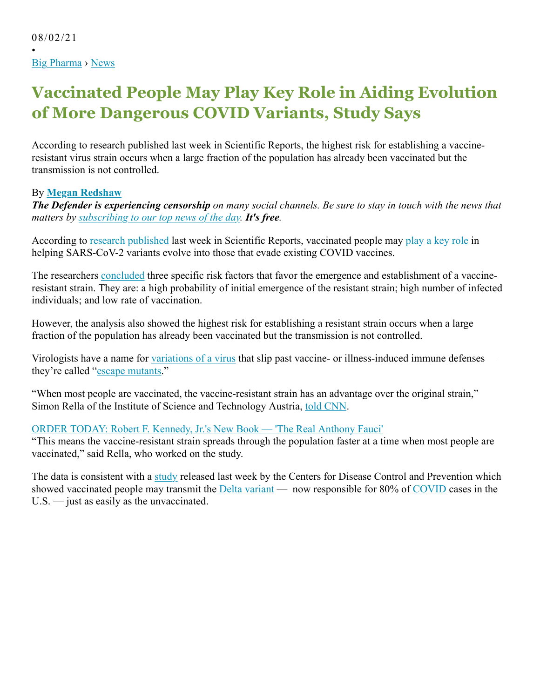•

## **Vaccinated People May Play Key Role in Aiding Evolution of More Dangerous COVID Variants, Study Says**

According to research published last week in Scientific Reports, the highest risk for establishing a vaccineresistant virus strain occurs when a large fraction of the population has already been vaccinated but the transmission is not controlled.

## By **Megan Redshaw**

*The Defender is experiencing censorship on many social channels. Be sure to stay in touch with the news that matters by subscribing to our top news of the day. It's free.*

According to research published last week in Scientific Reports, vaccinated people may play a key role in helping SARS-CoV-2 variants evolve into those that evade existing COVID vaccines.

The researchers concluded three specific risk factors that favor the emergence and establishment of a vaccineresistant strain. They are: a high probability of initial emergence of the resistant strain; high number of infected individuals; and low rate of vaccination.

However, the analysis also showed the highest risk for establishing a resistant strain occurs when a large fraction of the population has already been vaccinated but the transmission is not controlled.

Virologists have a name for variations of a virus that slip past vaccine- or illness-induced immune defenses they're called "escape mutants."

"When most people are vaccinated, the vaccine-resistant strain has an advantage over the original strain," Simon Rella of the Institute of Science and Technology Austria, told CNN.

## ORDER TODAY: Robert F. Kennedy, Jr.'s New Book — 'The Real Anthony Fauci'

"This means the vaccine-resistant strain spreads through the population faster at a time when most people are vaccinated," said Rella, who worked on the study.

The data is consistent with a study released last week by the Centers for Disease Control and Prevention which showed vaccinated people may transmit the Delta variant — now responsible for 80% of COVID cases in the U.S. — just as easily as the unvaccinated.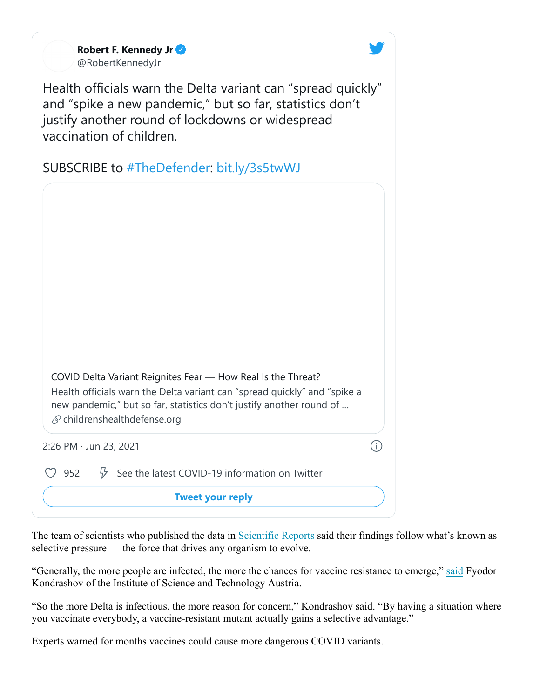| Robert F. Kennedy Jr |
|----------------------|
| @RobertKennedyJr     |

Health officials warn the Delta variant can "spread quickly" and "spike a new pandemic," but so far, statistics don't justify another round of lockdowns or widespread vaccination of children.

SUBSCRIBE to #TheDefender: bit.ly/3s5twWJ

| COVID Delta Variant Reignites Fear — How Real Is the Threat?<br>Health officials warn the Delta variant can "spread quickly" and "spike a<br>new pandemic," but so far, statistics don't justify another round of<br>$\mathcal{S}$ childrenshealthdefense.org |  |
|---------------------------------------------------------------------------------------------------------------------------------------------------------------------------------------------------------------------------------------------------------------|--|
| $2:26$ PM $\cdot$ Jun 23, 2021                                                                                                                                                                                                                                |  |
| 952<br>See the latest COVID-19 information on Twitter                                                                                                                                                                                                         |  |
| <b>Tweet your reply</b>                                                                                                                                                                                                                                       |  |

The team of scientists who published the data in Scientific Reports said their findings follow what's known as selective pressure — the force that drives any organism to evolve.

"Generally, the more people are infected, the more the chances for vaccine resistance to emerge," said Fyodor Kondrashov of the Institute of Science and Technology Austria.

"So the more Delta is infectious, the more reason for concern," Kondrashov said. "By having a situation where you vaccinate everybody, a vaccine-resistant mutant actually gains a selective advantage."

Experts warned for months vaccines could cause more dangerous COVID variants.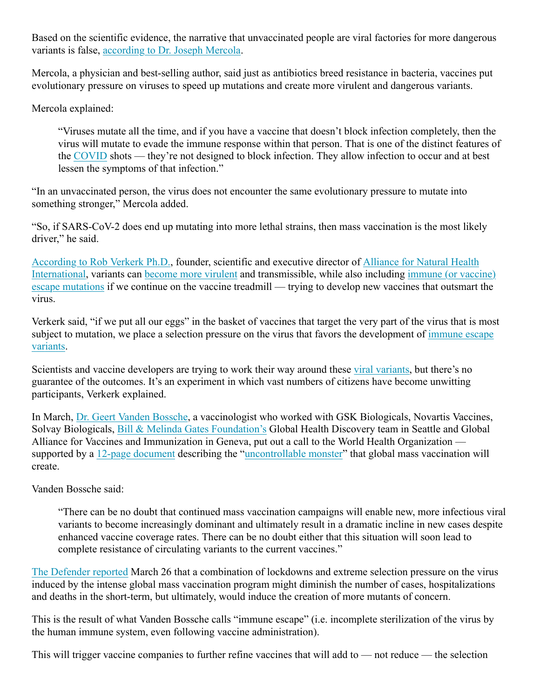Based on the scientific evidence, the narrative that unvaccinated people are viral factories for more dangerous variants is false, according to Dr. Joseph Mercola.

Mercola, a physician and best-selling author, said just as antibiotics breed resistance in bacteria, vaccines put evolutionary pressure on viruses to speed up mutations and create more virulent and dangerous variants.

Mercola explained:

"Viruses mutate all the time, and if you have a vaccine that doesn't block infection completely, then the virus will mutate to evade the immune response within that person. That is one of the distinct features of the COVID shots — they're not designed to block infection. They allow infection to occur and at best lessen the symptoms of that infection."

"In an unvaccinated person, the virus does not encounter the same evolutionary pressure to mutate into something stronger," Mercola added.

"So, if SARS-CoV-2 does end up mutating into more lethal strains, then mass vaccination is the most likely driver," he said.

According to Rob Verkerk Ph.D., founder, scientific and executive director of Alliance for Natural Health International, variants can become more virulent and transmissible, while also including immune (or vaccine) escape mutations if we continue on the vaccine treadmill — trying to develop new vaccines that outsmart the virus.

Verkerk said, "if we put all our eggs" in the basket of vaccines that target the very part of the virus that is most subject to mutation, we place a selection pressure on the virus that favors the development of immune escape variants.

Scientists and vaccine developers are trying to work their way around these viral variants, but there's no guarantee of the outcomes. It's an experiment in which vast numbers of citizens have become unwitting participants, Verkerk explained.

In March, Dr. Geert Vanden Bossche, a vaccinologist who worked with GSK Biologicals, Novartis Vaccines, Solvay Biologicals, Bill & Melinda Gates Foundation's Global Health Discovery team in Seattle and Global Alliance for Vaccines and Immunization in Geneva, put out a call to the World Health Organization supported by a 12-page document describing the "uncontrollable monster" that global mass vaccination will create.

Vanden Bossche said:

"There can be no doubt that continued mass vaccination campaigns will enable new, more infectious viral variants to become increasingly dominant and ultimately result in a dramatic incline in new cases despite enhanced vaccine coverage rates. There can be no doubt either that this situation will soon lead to complete resistance of circulating variants to the current vaccines."

The Defender reported March 26 that a combination of lockdowns and extreme selection pressure on the virus induced by the intense global mass vaccination program might diminish the number of cases, hospitalizations and deaths in the short-term, but ultimately, would induce the creation of more mutants of concern.

This is the result of what Vanden Bossche calls "immune escape" (i.e. incomplete sterilization of the virus by the human immune system, even following vaccine administration).

This will trigger vaccine companies to further refine vaccines that will add to — not reduce — the selection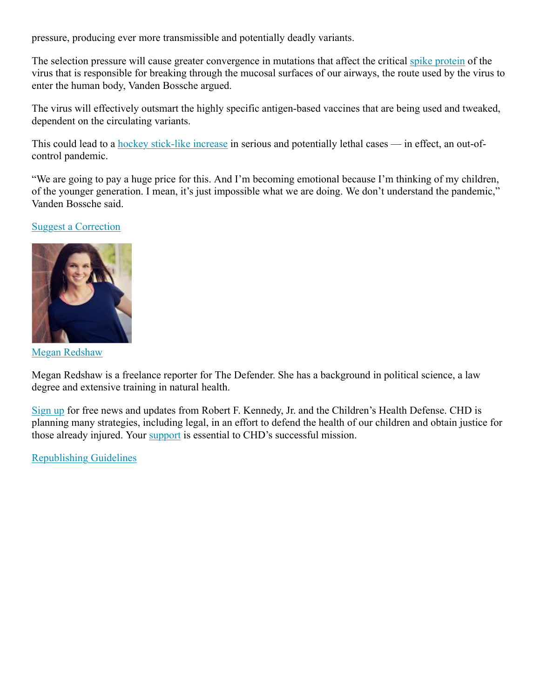pressure, producing ever more transmissible and potentially deadly variants.

The selection pressure will cause greater convergence in mutations that affect the critical spike protein of the virus that is responsible for breaking through the mucosal surfaces of our airways, the route used by the virus to enter the human body, Vanden Bossche argued.

The virus will effectively outsmart the highly specific antigen-based vaccines that are being used and tweaked, dependent on the circulating variants.

This could lead to a hockey stick-like increase in serious and potentially lethal cases — in effect, an out-ofcontrol pandemic.

"We are going to pay a huge price for this. And I'm becoming emotional because I'm thinking of my children, of the younger generation. I mean, it's just impossible what we are doing. We don't understand the pandemic," Vanden Bossche said.

## Suggest a Correction



Megan Redshaw

Megan Redshaw is a freelance reporter for The Defender. She has a background in political science, a law degree and extensive training in natural health.

Sign up for free news and updates from Robert F. Kennedy, Jr. and the Children's Health Defense. CHD is planning many strategies, including legal, in an effort to defend the health of our children and obtain justice for those already injured. Your support is essential to CHD's successful mission.

Republishing Guidelines